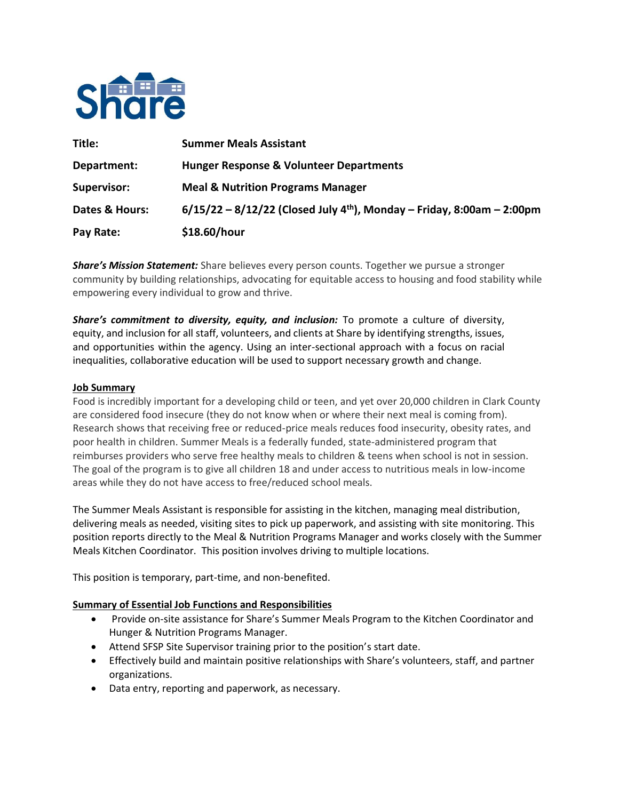

| Title:             | <b>Summer Meals Assistant</b>                                                        |
|--------------------|--------------------------------------------------------------------------------------|
| Department:        | <b>Hunger Response &amp; Volunteer Departments</b>                                   |
| <b>Supervisor:</b> | <b>Meal &amp; Nutrition Programs Manager</b>                                         |
| Dates & Hours:     | $6/15/22 - 8/12/22$ (Closed July 4 <sup>th</sup> ), Monday – Friday, 8:00am – 2:00pm |
| Pay Rate:          | \$18.60/hour                                                                         |

*Share's Mission Statement:* Share believes every person counts. Together we pursue a stronger community by building relationships, advocating for equitable access to housing and food stability while empowering every individual to grow and thrive.

*Share's commitment to diversity, equity, and inclusion:* To promote a culture of diversity, equity, and inclusion for all staff, volunteers, and clients at Share by identifying strengths, issues, and opportunities within the agency. Using an inter-sectional approach with a focus on racial inequalities, collaborative education will be used to support necessary growth and change. 

### **Job Summary**

Food is incredibly important for a developing child or teen, and yet over 20,000 children in Clark County are considered food insecure (they do not know when or where their next meal is coming from). Research shows that receiving free or reduced-price meals reduces food insecurity, obesity rates, and poor health in children. Summer Meals is a federally funded, state-administered program that reimburses providers who serve free healthy meals to children & teens when school is not in session. The goal of the program is to give all children 18 and under access to nutritious meals in low-income areas while they do not have access to free/reduced school meals.

The Summer Meals Assistant is responsible for assisting in the kitchen, managing meal distribution, delivering meals as needed, visiting sites to pick up paperwork, and assisting with site monitoring. This position reports directly to the Meal & Nutrition Programs Manager and works closely with the Summer Meals Kitchen Coordinator. This position involves driving to multiple locations.

This position is temporary, part-time, and non-benefited.

## **Summary of Essential Job Functions and Responsibilities**

- Provide on-site assistance for Share's Summer Meals Program to the Kitchen Coordinator and Hunger & Nutrition Programs Manager.
- Attend SFSP Site Supervisor training prior to the position's start date.
- Effectively build and maintain positive relationships with Share's volunteers, staff, and partner organizations.
- Data entry, reporting and paperwork, as necessary.